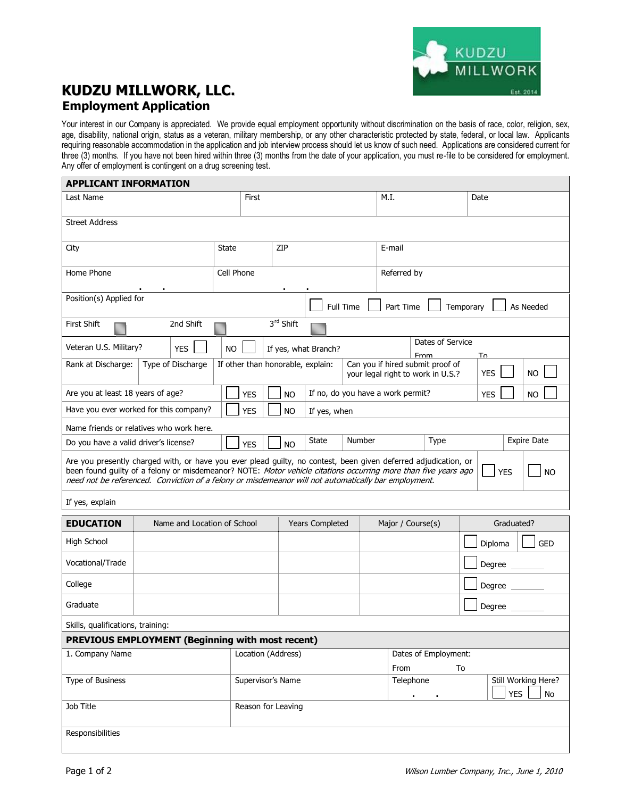## **KUDZU MILLWORK, LLC. Employment Application**

Your interest in our Company is appreciated. We provide equal employment opportunity without discrimination on the basis of race, color, religion, sex, age, disability, national origin, status as a veteran, military membership, or any other characteristic protected by state, federal, or local law. Applicants requiring reasonable accommodation in the application and job interview process should let us know of such need. Applications are considered current for three (3) months. If you have not been hired within three (3) months from the date of your application, you must re-file to be considered for employment. Any offer of employment is contingent on a drug screening test.

| <b>APPLICANT INFORMATION</b>                                                                                                                                                                                                                                                                                                                                         |                                                                                                                                 |            |                                           |           |              |                        |                                     |                   |           |                    |            |                                         |            |  |
|----------------------------------------------------------------------------------------------------------------------------------------------------------------------------------------------------------------------------------------------------------------------------------------------------------------------------------------------------------------------|---------------------------------------------------------------------------------------------------------------------------------|------------|-------------------------------------------|-----------|--------------|------------------------|-------------------------------------|-------------------|-----------|--------------------|------------|-----------------------------------------|------------|--|
| Last Name                                                                                                                                                                                                                                                                                                                                                            | First                                                                                                                           |            |                                           |           |              |                        |                                     | M.I.              | Date      |                    |            |                                         |            |  |
| <b>Street Address</b>                                                                                                                                                                                                                                                                                                                                                |                                                                                                                                 |            |                                           |           |              |                        |                                     |                   |           |                    |            |                                         |            |  |
| City                                                                                                                                                                                                                                                                                                                                                                 | <b>State</b>                                                                                                                    | ZIP        |                                           |           |              |                        | E-mail                              |                   |           |                    |            |                                         |            |  |
| Home Phone                                                                                                                                                                                                                                                                                                                                                           |                                                                                                                                 | Cell Phone |                                           |           |              | Referred by            |                                     |                   |           |                    |            |                                         |            |  |
| Position(s) Applied for                                                                                                                                                                                                                                                                                                                                              |                                                                                                                                 | Full Time  |                                           |           |              |                        | Part Time<br>Temporary<br>As Needed |                   |           |                    |            |                                         |            |  |
| 3rd Shift<br>2nd Shift<br><b>First Shift</b>                                                                                                                                                                                                                                                                                                                         |                                                                                                                                 |            |                                           |           |              |                        |                                     |                   |           |                    |            |                                         |            |  |
| Veteran U.S. Military?<br><b>YES</b>                                                                                                                                                                                                                                                                                                                                 |                                                                                                                                 |            | <b>NO</b><br>If yes, what Branch?         |           |              |                        | Dates of Service<br>From<br>Т∩      |                   |           |                    |            |                                         |            |  |
| Rank at Discharge:                                                                                                                                                                                                                                                                                                                                                   | Type of Discharge<br>If other than honorable, explain:<br>Can you if hired submit proof of<br>your legal right to work in U.S.? |            |                                           |           |              |                        | <b>YES</b>                          |                   | <b>NO</b> |                    |            |                                         |            |  |
| Are you at least 18 years of age?                                                                                                                                                                                                                                                                                                                                    |                                                                                                                                 |            | <b>YES</b>                                |           | <b>NO</b>    |                        | If no, do you have a work permit?   |                   |           |                    | <b>YES</b> |                                         | <b>NO</b>  |  |
| Have you ever worked for this company?                                                                                                                                                                                                                                                                                                                               |                                                                                                                                 | <b>YES</b> |                                           | <b>NO</b> | If yes, when |                        |                                     |                   |           |                    |            |                                         |            |  |
| Name friends or relatives who work here.                                                                                                                                                                                                                                                                                                                             |                                                                                                                                 |            |                                           |           |              |                        |                                     |                   |           |                    |            |                                         |            |  |
| Do you have a valid driver's license?<br><b>YES</b>                                                                                                                                                                                                                                                                                                                  |                                                                                                                                 |            |                                           |           | <b>NO</b>    | State                  | Number<br>Type                      |                   |           | <b>Expire Date</b> |            |                                         |            |  |
| Are you presently charged with, or have you ever plead guilty, no contest, been given deferred adjudication, or<br>been found guilty of a felony or misdemeanor? NOTE: Motor vehicle citations occurring more than five years ago<br><b>YES</b><br><b>NO</b><br>need not be referenced. Conviction of a felony or misdemeanor will not automatically bar employment. |                                                                                                                                 |            |                                           |           |              |                        |                                     |                   |           |                    |            |                                         |            |  |
| If yes, explain                                                                                                                                                                                                                                                                                                                                                      |                                                                                                                                 |            |                                           |           |              |                        |                                     |                   |           |                    |            |                                         |            |  |
| <b>EDUCATION</b>                                                                                                                                                                                                                                                                                                                                                     | Name and Location of School                                                                                                     |            |                                           |           |              | <b>Years Completed</b> |                                     | Major / Course(s) |           |                    | Graduated? |                                         |            |  |
| High School                                                                                                                                                                                                                                                                                                                                                          |                                                                                                                                 |            |                                           |           |              |                        |                                     |                   |           |                    | Diploma    |                                         | <b>GED</b> |  |
| Vocational/Trade                                                                                                                                                                                                                                                                                                                                                     |                                                                                                                                 |            |                                           |           |              |                        |                                     |                   |           |                    | Degree _   |                                         |            |  |
| College                                                                                                                                                                                                                                                                                                                                                              |                                                                                                                                 |            |                                           |           |              |                        |                                     |                   |           |                    | Degree     |                                         |            |  |
| Graduate                                                                                                                                                                                                                                                                                                                                                             |                                                                                                                                 |            |                                           |           |              |                        |                                     | Degree            |           |                    |            |                                         |            |  |
| Skills, qualifications, training:                                                                                                                                                                                                                                                                                                                                    |                                                                                                                                 |            |                                           |           |              |                        |                                     |                   |           |                    |            |                                         |            |  |
|                                                                                                                                                                                                                                                                                                                                                                      | <b>PREVIOUS EMPLOYMENT (Beginning with most recent)</b>                                                                         |            |                                           |           |              |                        |                                     |                   |           |                    |            |                                         |            |  |
| 1. Company Name                                                                                                                                                                                                                                                                                                                                                      |                                                                                                                                 |            | Location (Address)                        |           |              |                        | Dates of Employment:<br>From<br>To  |                   |           |                    |            |                                         |            |  |
| Type of Business                                                                                                                                                                                                                                                                                                                                                     |                                                                                                                                 |            | Supervisor's Name                         |           |              |                        |                                     | Telephone         |           |                    |            | Still Working Here?<br><b>YES</b><br>No |            |  |
| Job Title                                                                                                                                                                                                                                                                                                                                                            |                                                                                                                                 |            | $\blacksquare$<br>٠<br>Reason for Leaving |           |              |                        |                                     |                   |           |                    |            |                                         |            |  |

Responsibilities